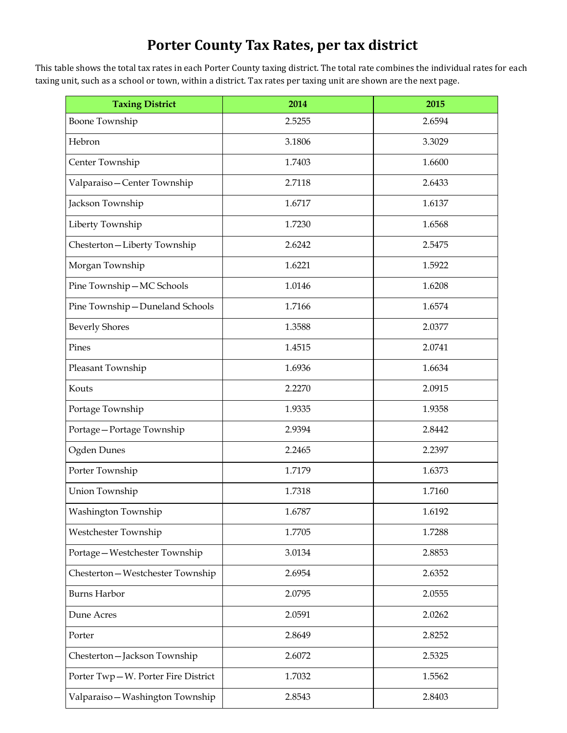## **Porter County Tax Rates, per tax district**

This table shows the total tax rates in each Porter County taxing district. The total rate combines the individual rates for each taxing unit, such as a school or town, within a district. Tax rates per taxing unit are shown are the next page.

| <b>Taxing District</b>             | 2014   | 2015   |
|------------------------------------|--------|--------|
| <b>Boone Township</b>              | 2.5255 | 2.6594 |
| Hebron                             | 3.1806 | 3.3029 |
| Center Township                    | 1.7403 | 1.6600 |
| Valparaiso-Center Township         | 2.7118 | 2.6433 |
| Jackson Township                   | 1.6717 | 1.6137 |
| Liberty Township                   | 1.7230 | 1.6568 |
| Chesterton-Liberty Township        | 2.6242 | 2.5475 |
| Morgan Township                    | 1.6221 | 1.5922 |
| Pine Township-MC Schools           | 1.0146 | 1.6208 |
| Pine Township-Duneland Schools     | 1.7166 | 1.6574 |
| <b>Beverly Shores</b>              | 1.3588 | 2.0377 |
| Pines                              | 1.4515 | 2.0741 |
| Pleasant Township                  | 1.6936 | 1.6634 |
| Kouts                              | 2.2270 | 2.0915 |
| Portage Township                   | 1.9335 | 1.9358 |
| Portage-Portage Township           | 2.9394 | 2.8442 |
| Ogden Dunes                        | 2.2465 | 2.2397 |
| Porter Township                    | 1.7179 | 1.6373 |
| Union Township                     | 1.7318 | 1.7160 |
| Washington Township                | 1.6787 | 1.6192 |
| Westchester Township               | 1.7705 | 1.7288 |
| Portage-Westchester Township       | 3.0134 | 2.8853 |
| Chesterton-Westchester Township    | 2.6954 | 2.6352 |
| <b>Burns Harbor</b>                | 2.0795 | 2.0555 |
| Dune Acres                         | 2.0591 | 2.0262 |
| Porter                             | 2.8649 | 2.8252 |
| Chesterton-Jackson Township        | 2.6072 | 2.5325 |
| Porter Twp-W. Porter Fire District | 1.7032 | 1.5562 |
| Valparaiso-Washington Township     | 2.8543 | 2.8403 |